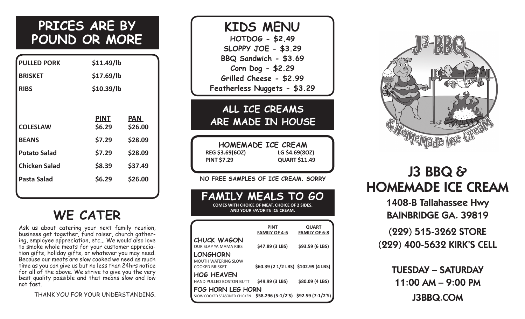## **PRICES ARE BY POUND OR MORE**

| <b>PULLED PORK</b>   | \$11.49/lb  |            |
|----------------------|-------------|------------|
| <b>BRISKET</b>       | \$17.69/lb  |            |
| <b>RIBS</b>          | \$10.39/lb  |            |
|                      |             |            |
|                      | <b>PINT</b> | <b>PAN</b> |
| <b>COLESLAW</b>      | \$6.29      | \$26.00    |
| <b>BEANS</b>         | \$7.29      | \$28.09    |
| <b>Potato Salad</b>  | \$7.29      | \$28.09    |
| <b>Chicken Salad</b> | \$8.39      | \$37.49    |
| Pasta Salad          | \$6.29      | \$26.00    |
|                      |             |            |

## **WE CATER**

Ask us about catering your next family reunion, business get together, fund raiser, church gathering, employee appreciation, etc... We would also love to smoke whole meats for your customer appreciation gifts, holiday gifts, or whatever you may need. Because our meats are slow cooked we need as much time as you can give us but no less than 24hrs notice for all of the above. We strive to give you the very best quality possible and that means slow and low not fast.

THANK YOU FOR YOUR UNDERSTANDING.

### **KIDS MENU HOTDOG - \$2.49 SLOPPY JOE - \$3.29 BBQ Sandwich - \$3.69 Corn Dog - \$2.29 Grilled Cheese - \$2.99 Featherless Nuggets - \$3.29**

### **ALL ICE CREAMS ARE MADE IN HOUSE**

**HOMEMADE ICE CREAM REG \$3.69(6OZ) LG \$4.69(8OZ) PINT \$7.29 QUART \$11.49** 

**NO FREE SAMPLES OF ICE CREAM. SORRY**

### **FAMILY MEALS TO GO**

**COMES WITH CHOICE OF MEAT, CHOICE OF 2 SIDES, AND YOUR FAVORITE ICE CREAM.**

|                                                     | <b>PINT</b>                          | <b>QUART</b>         |
|-----------------------------------------------------|--------------------------------------|----------------------|
|                                                     | <b>FAMILY OF 4-6</b>                 | <b>FAMILY OF 6-8</b> |
| <b>CHUCK WAGON</b><br><b>OUR SLAP YA MAMA RIBS</b>  | \$47.89 (3 LBS)                      | \$93.59 (6 LBS)      |
| LONGHORN<br><b>MOUTH WATERING SLOW</b>              |                                      |                      |
| <b>COOKED BRISKET</b>                               | \$60.39 (2 1/2 LBS) \$102.99 (4 LBS) |                      |
| <b>HOG HEAVEN</b><br><b>HAND PULLED BOSTON BUTT</b> | \$49.99 (3 LBS)                      | \$80.09 (4 LBS)      |
| FOG HORN LEG HORN<br>SLOW COOKED SEASONED CHICKEN   | $$58.296 (5-1/2's) $92.59 (7-1/2's)$ |                      |
|                                                     |                                      |                      |



## J3 BBQ & HOMEMADE ICE CREAM

1408-B Tallahassee Hwy BAINBRIDGE GA. 39819

(229) 515-3262 STORE (229) 400-5632 KIRK'S CELL

> TUESDAY – SATURDAY 11:00 AM – 9:00 PM j3bbq.com